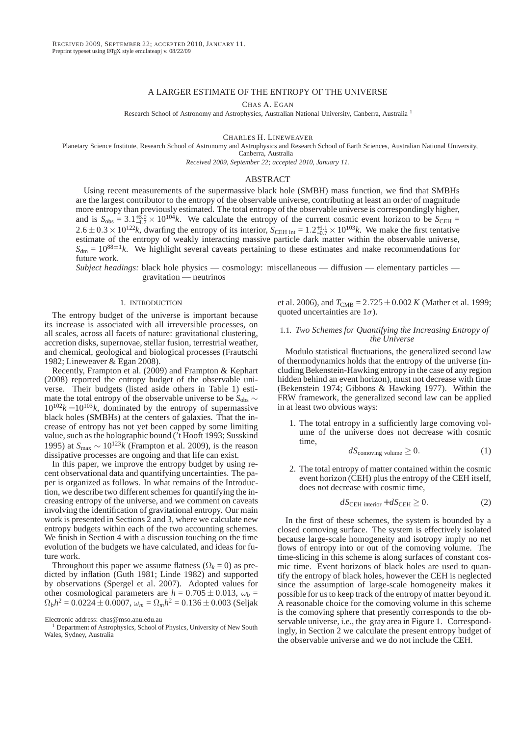# A LARGER ESTIMATE OF THE ENTROPY OF THE UNIVERSE

CHAS A. EGAN

Research School of Astronomy and Astrophysics, Australian National University, Canberra, Australia <sup>1</sup>

CHARLES H. LINEWEAVER

Planetary Science Institute, Research School of Astronomy and Astrophysics and Research School of Earth Sciences, Australian National University, Canberra, Australia

*Received 2009, September 22; accepted 2010, January 11.*

# ABSTRACT

Using recent measurements of the supermassive black hole (SMBH) mass function, we find that SMBHs are the largest contributor to the entropy of the observable universe, contributing at least an order of magnitude more entropy than previously estimated. The total entropy of the observable universe is correspondingly higher, and is  $S_{\text{obs}} = 3.1^{+3.0}_{-1.7} \times 10^{104} k$ . We calculate the entropy of the current cosmic event horizon to be  $S_{\text{CEH}} =$  $2.6 \pm 0.3 \times 10^{122}k$ , dwarfing the entropy of its interior,  $S_{\text{CEH int}} = 1.2^{+1.1}_{-0.7} \times 10^{103}k$ . We make the first tentative estimate of the entropy of weakly interacting massive particle dark matter within the observable universe,  $S<sub>dm</sub> = 10<sup>88±1</sup>k$ . We highlight several caveats pertaining to these estimates and make recommendations for future work.

*Subject headings:* black hole physics — cosmology: miscellaneous — diffusion — elementary particles gravitation — neutrinos

## 1. INTRODUCTION

The entropy budget of the universe is important because its increase is associated with all irreversible processes, on all scales, across all facets of nature: gravitational clustering, accretion disks, supernovae, stellar fusion, terrestrial weather, and chemical, geological and biological processes (Frautschi 1982; Lineweaver & Egan 2008).

Recently, Frampton et al. (2009) and Frampton & Kephart (2008) reported the entropy budget of the observable universe. Their budgets (listed aside others in Table 1) estimate the total entropy of the observable universe to be  $S_{obs}$  ∼  $10^{102}k - 10^{103}k$ , dominated by the entropy of supermassive black holes (SMBHs) at the centers of galaxies. That the increase of entropy has not yet been capped by some limiting value, such as the holographic bound ('t Hooft 1993; Susskind 1995) at  $S_{\text{max}} \sim 10^{123} k$  (Frampton et al. 2009), is the reason dissipative processes are ongoing and that life can exist.

In this paper, we improve the entropy budget by using recent observational data and quantifying uncertainties. The paper is organized as follows. In what remains of the Introduction, we describe two different schemes for quantifying the increasing entropy of the universe, and we comment on caveats involving the identification of gravitational entropy. Our main work is presented in Sections 2 and 3, where we calculate new entropy budgets within each of the two accounting schemes. We finish in Section 4 with a discussion touching on the time evolution of the budgets we have calculated, and ideas for future work.

Throughout this paper we assume flatness  $(\Omega_k = 0)$  as predicted by inflation (Guth 1981; Linde 1982) and supported by observations (Spergel et al. 2007). Adopted values for other cosmological parameters are  $h = 0.705 \pm 0.013$ ,  $\omega_b =$  $\Omega_b h^2 = 0.0224 \pm 0.0007$ ,  $\omega_m = \Omega_m h^2 = 0.136 \pm 0.003$  (Seljak

<sup>1</sup> Department of Astrophysics, School of Physics, University of New South Wales, Sydney, Australia

et al. 2006), and  $T_{\text{CMB}} = 2.725 \pm 0.002 K$  (Mather et al. 1999; quoted uncertainties are  $1\sigma$ ).

## 1.1. *Two Schemes for Quantifying the Increasing Entropy of the Universe*

Modulo statistical fluctuations, the generalized second law of thermodynamics holds that the entropy of the universe (including Bekenstein-Hawking entropy in the case of any region hidden behind an event horizon), must not decrease with time (Bekenstein 1974; Gibbons & Hawking 1977). Within the FRW framework, the generalized second law can be applied in at least two obvious ways:

1. The total entropy in a sufficiently large comoving volume of the universe does not decrease with cosmic time,

$$
dS_{\text{comoving volume}} \ge 0. \tag{1}
$$

2. The total entropy of matter contained within the cosmic event horizon (CEH) plus the entropy of the CEH itself, does not decrease with cosmic time,

$$
dS_{\text{CEH interior}} + dS_{\text{CEH}} \ge 0. \tag{2}
$$

In the first of these schemes, the system is bounded by a closed comoving surface. The system is effectively isolated because large-scale homogeneity and isotropy imply no net flows of entropy into or out of the comoving volume. The time-slicing in this scheme is along surfaces of constant cosmic time. Event horizons of black holes are used to quantify the entropy of black holes, however the CEH is neglected since the assumption of large-scale homogeneity makes it possible for us to keep track of the entropy of matter beyond it. A reasonable choice for the comoving volume in this scheme is the comoving sphere that presently corresponds to the observable universe, i.e., the gray area in Figure 1. Correspondingly, in Section 2 we calculate the present entropy budget of the observable universe and we do not include the CEH.

Electronic address: chas@mso.anu.edu.au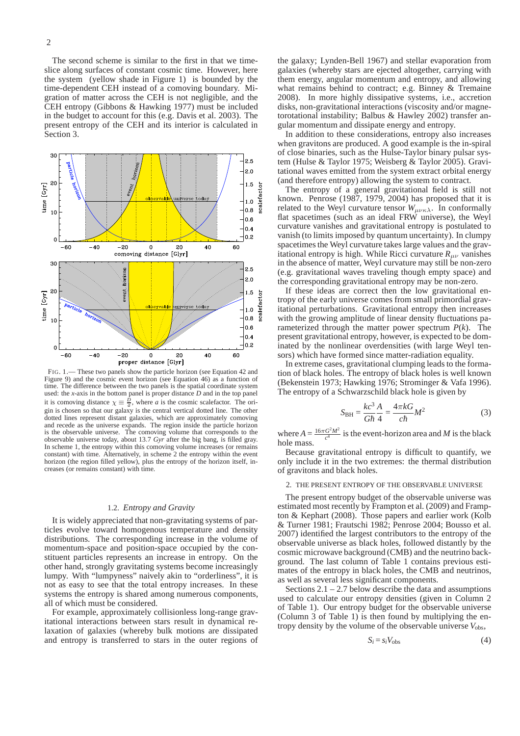The second scheme is similar to the first in that we timeslice along surfaces of constant cosmic time. However, here the system (yellow shade in Figure 1) is bounded by the time-dependent CEH instead of a comoving boundary. Migration of matter across the CEH is not negligible, and the CEH entropy (Gibbons & Hawking 1977) must be included in the budget to account for this (e.g. Davis et al. 2003). The present entropy of the CEH and its interior is calculated in Section 3.



FIG. 1.— These two panels show the particle horizon (see Equation 42 and Figure 9) and the cosmic event horizon (see Equation 46) as a function of time. The difference between the two panels is the spatial coordinate system used: the *x*-axis in the bottom panel is proper distance *D* and in the top panel it is comoving distance  $\chi \equiv \frac{D}{a}$ , where *a* is the cosmic scalefactor. The origin is chosen so that our galaxy is the central vertical dotted line. The other dotted lines represent distant galaxies, which are approximately comoving and recede as the universe expands. The region inside the particle horizon is the observable universe. The comoving volume that corresponds to the observable universe today, about 13.7 *Gyr* after the big bang, is filled gray. In scheme 1, the entropy within this comoving volume increases (or remains constant) with time. Alternatively, in scheme 2 the entropy within the event horizon (the region filled yellow), plus the entropy of the horizon itself, increases (or remains constant) with time.

## 1.2. *Entropy and Gravity*

It is widely appreciated that non-gravitating systems of particles evolve toward homogenous temperature and density distributions. The corresponding increase in the volume of momentum-space and position-space occupied by the constituent particles represents an increase in entropy. On the other hand, strongly gravitating systems become increasingly lumpy. With "lumpyness" naively akin to "orderliness", it is not as easy to see that the total entropy increases. In these systems the entropy is shared among numerous components, all of which must be considered.

For example, approximately collisionless long-range gravitational interactions between stars result in dynamical relaxation of galaxies (whereby bulk motions are dissipated and entropy is transferred to stars in the outer regions of the galaxy; Lynden-Bell 1967) and stellar evaporation from galaxies (whereby stars are ejected altogether, carrying with them energy, angular momentum and entropy, and allowing what remains behind to contract; e.g. Binney & Tremaine 2008). In more highly dissipative systems, i.e., accretion disks, non-gravitational interactions (viscosity and/or magnetorotational instability; Balbus & Hawley 2002) transfer angular momentum and dissipate energy and entropy.

In addition to these considerations, entropy also increases when gravitons are produced. A good example is the in-spiral of close binaries, such as the Hulse-Taylor binary pulsar system (Hulse & Taylor 1975; Weisberg & Taylor 2005). Gravitational waves emitted from the system extract orbital energy (and therefore entropy) allowing the system to contract.

The entropy of a general gravitational field is still not known. Penrose (1987, 1979, 2004) has proposed that it is related to the Weyl curvature tensor  $W_{\mu\nu\kappa\lambda}$ . In conformally flat spacetimes (such as an ideal FRW universe), the Weyl curvature vanishes and gravitational entropy is postulated to vanish (to limits imposed by quantum uncertainty). In clumpy spacetimes the Weyl curvature takes large values and the gravitational entropy is high. While Ricci curvature  $R_{\mu\nu}$  vanishes in the absence of matter, Weyl curvature may still be non-zero (e.g. gravitational waves traveling though empty space) and the corresponding gravitational entropy may be non-zero.

If these ideas are correct then the low gravitational entropy of the early universe comes from small primordial gravitational perturbations. Gravitational entropy then increases with the growing amplitude of linear density fluctuations parameterized through the matter power spectrum *P*(*k*). The present gravitational entropy, however, is expected to be dominated by the nonlinear overdensities (with large Weyl tensors) which have formed since matter-radiation equality.

In extreme cases, gravitational clumping leads to the formation of black holes. The entropy of black holes is well known (Bekenstein 1973; Hawking 1976; Strominger & Vafa 1996). The entropy of a Schwarzschild black hole is given by

$$
S_{\rm BH} = \frac{kc^3}{G\hbar} \frac{A}{4} = \frac{4\pi kG}{c\hbar} M^2
$$
 (3)

where  $A = \frac{16\pi G^2 M^2}{c^4}$  $\frac{G^2 M^2}{c^4}$  is the event-horizon area and *M* is the black hole mass.

Because gravitational entropy is difficult to quantify, we only include it in the two extremes: the thermal distribution of gravitons and black holes.

## 2. THE PRESENT ENTROPY OF THE OBSERVABLE UNIVERSE

The present entropy budget of the observable universe was estimated most recently by Frampton et al. (2009) and Frampton & Kephart (2008). Those papers and earlier work (Kolb & Turner 1981; Frautschi 1982; Penrose 2004; Bousso et al. 2007) identified the largest contributors to the entropy of the observable universe as black holes, followed distantly by the cosmic microwave background (CMB) and the neutrino background. The last column of Table 1 contains previous estimates of the entropy in black holes, the CMB and neutrinos, as well as several less significant components.

Sections  $2.1 - 2.7$  below describe the data and assumptions used to calculate our entropy densities (given in Column 2 of Table 1). Our entropy budget for the observable universe (Column 3 of Table 1) is then found by multiplying the entropy density by the volume of the observable universe *V*obs,

$$
S_i = s_i V_{\text{obs}} \tag{4}
$$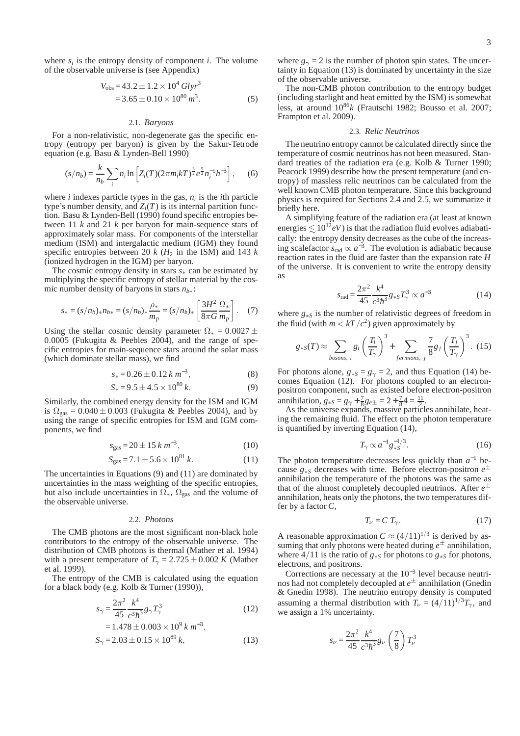where  $s_i$  is the entropy density of component *i*. The volume of the observable universe is (see Appendix)

$$
V_{\text{obs}} = 43.2 \pm 1.2 \times 10^4 \text{ Glyr}^3
$$
  
= 3.65 \pm 0.10 \times 10^{80} m^3. (5)

#### 2.1. *Baryons*

For a non-relativistic, non-degenerate gas the specific entropy (entropy per baryon) is given by the Sakur-Tetrode equation (e.g. Basu & Lynden-Bell 1990)

$$
(s/n_b) = \frac{k}{n_b} \sum_i n_i \ln \left[ Z_i(T) (2\pi m_i k T)^{\frac{3}{2}} e^{\frac{5}{2}} n_i^{-1} h^{-3} \right], \quad (6)
$$

where  $i$  indexes particle types in the gas,  $n_i$  is the  $i$ th particle type's number density, and  $Z_i(T)$  is its internal partition function. Basu & Lynden-Bell (1990) found specific entropies between 11 *k* and 21 *k* per baryon for main-sequence stars of approximately solar mass. For components of the interstellar medium (ISM) and intergalactic medium (IGM) they found specific entropies between 20  $k$  ( $H_2$  in the ISM) and 143  $k$ (ionized hydrogen in the IGM) per baryon.

The cosmic entropy density in stars *s*<sup>∗</sup> can be estimated by multiplying the specific entropy of stellar material by the cosmic number density of baryons in stars *nb*<sup>∗</sup>:

$$
s_* = (s/n_b)_* n_{b*} = (s/n_b)_* \frac{\rho_*}{m_p} = (s/n_b)_* \left[ \frac{3H^2}{8\pi G} \frac{\Omega_*}{m_p} \right].
$$
 (7)

Using the stellar cosmic density parameter  $\Omega_* = 0.0027 \pm 1$ 0.0005 (Fukugita & Peebles 2004), and the range of specific entropies for main-sequence stars around the solar mass (which dominate stellar mass), we find

$$
s_* = 0.26 \pm 0.12 \, k \, m^{-3}, \tag{8}
$$

$$
S_* = 9.5 \pm 4.5 \times 10^{80} \, k. \tag{9}
$$

Similarly, the combined energy density for the ISM and IGM is  $\Omega_{\text{gas}} = 0.040 \pm 0.003$  (Fukugita & Peebles 2004), and by using the range of specific entropies for ISM and IGM components, we find

$$
s_{\text{gas}} = 20 \pm 15 \, \text{km}^{-3},\tag{10}
$$

$$
S_{\text{gas}} = 7.1 \pm 5.6 \times 10^{81} \, k. \tag{11}
$$

The uncertainties in Equations (9) and (11) are dominated by uncertainties in the mass weighting of the specific entropies, but also include uncertainties in  $\Omega_*$ ,  $\Omega_{\text{gas}}$  and the volume of the observable universe.

## 2.2. *Photons*

The CMB photons are the most significant non-black hole contributors to the entropy of the observable universe. The distribution of CMB photons is thermal (Mather et al. 1994) with a present temperature of  $T<sub>γ</sub> = 2.725 \pm 0.002 K$  (Mather et al. 1999).

The entropy of the CMB is calculated using the equation for a black body (e.g. Kolb & Turner (1990)),

$$
s_{\gamma} = \frac{2\pi^2}{45} \frac{k^4}{c^3 \hbar^3} g_{\gamma} T_{\gamma}^3
$$
  
= 1.478 \pm 0.003 \times 10^9 k m<sup>-3</sup>, (12)

$$
S_{\gamma} = 2.03 \pm 0.15 \times 10^{89} k,\tag{13}
$$

where  $g_{\gamma} = 2$  is the number of photon spin states. The uncertainty in Equation (13) is dominated by uncertainty in the size of the observable universe.

The non-CMB photon contribution to the entropy budget (including starlight and heat emitted by the ISM) is somewhat less, at around  $10^{86}$ *k* (Frautschi 1982; Bousso et al. 2007; Frampton et al. 2009).

#### 2.3. *Relic Neutrinos*

The neutrino entropy cannot be calculated directly since the temperature of cosmic neutrinos has not been measured. Standard treaties of the radiation era (e.g. Kolb & Turner 1990; Peacock 1999) describe how the present temperature (and entropy) of massless relic neutrinos can be calculated from the well known CMB photon temperature. Since this background physics is required for Sections 2.4 and 2.5, we summarize it briefly here.

A simplifying feature of the radiation era (at least at known energies  $\leq 10^{12} eV$ ) is that the radiation fluid evolves adiabatically: the entropy density decreases as the cube of the increasing scalefactor  $s_{rad} \propto a^{-3}$ . The evolution is adiabatic because reaction rates in the fluid are faster than the expansion rate *H* of the universe. It is convenient to write the entropy density as

$$
s_{\rm rad} = \frac{2\pi^2}{45} \frac{k^4}{c^3 \hbar^3} g_{*S} T_\gamma^3 \propto a^{-3} \tag{14}
$$

where *g*<sup>∗</sup>*<sup>S</sup>* is the number of relativistic degrees of freedom in the fluid (with  $m < kT/c<sup>2</sup>$ ) given approximately by

$$
g_{*S}(T) \approx \sum_{bosons, i} g_i \left(\frac{T_i}{T_\gamma}\right)^3 + \sum_{fermions, j} \frac{7}{8} g_j \left(\frac{T_j}{T_\gamma}\right)^3. (15)
$$

For photons alone,  $g_{*S} = g_{\gamma} = 2$ , and thus Equation (14) becomes Equation (12). For photons coupled to an electronpositron component, such as existed before electron-positron annihilation,  $g_{*S} = g_{\gamma} + \frac{7}{8} g_{e\pm} = 2 + \frac{7}{8} 4 = \frac{11}{2}$ .

As the universe expands, massive particles annihilate, heating the remaining fluid. The effect on the photon temperature is quantified by inverting Equation (14),

$$
T_{\gamma} \propto a^{-1} g_{*S}^{-1/3}.
$$
 (16)

The photon temperature decreases less quickly than  $a^{-1}$  because  $g_{*s}$  decreases with time. Before electron-positron  $e^{\pm}$ annihilation the temperature of the photons was the same as that of the almost completely decoupled neutrinos. After  $e^{\pm}$ annihilation, heats only the photons, the two temperatures differ by a factor *C*,

$$
T_{\nu} = C T_{\gamma}.
$$
 (17)

A reasonable approximation  $C \approx (4/11)^{1/3}$  is derived by assuming that only photons were heated during  $e^{\pm}$  annihilation, where  $4/11$  is the ratio of  $g_{*S}$  for photons to  $g_{*S}$  for photons, electrons, and positrons.

Corrections are necessary at the  $10^{-3}$  level because neutrinos had not completely decoupled at *e* <sup>±</sup> annihilation (Gnedin & Gnedin 1998). The neutrino entropy density is computed assuming a thermal distribution with  $T_{\nu} = (4/11)^{1/3}T_{\gamma}$ , and we assign a 1% uncertainty.

$$
s_{\nu} = \frac{2\pi^2}{45} \frac{k^4}{c^3 \hbar^3} g_{\nu} \left(\frac{7}{8}\right) T_{\nu}^3
$$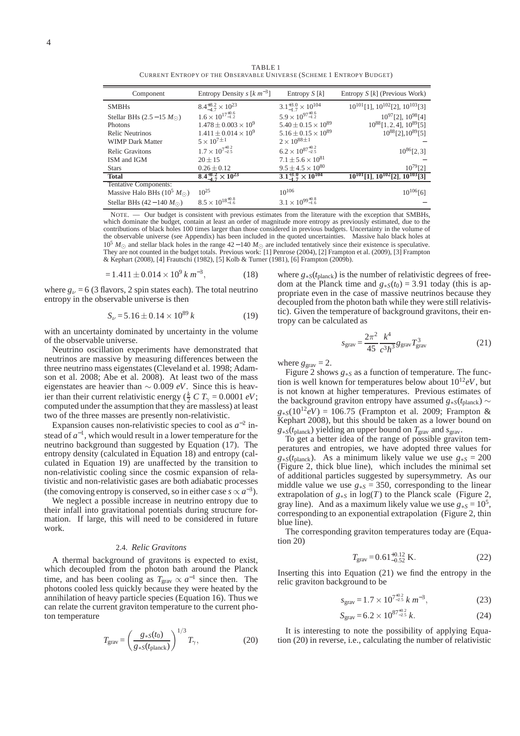TABLE 1 CURRENT ENTROPY OF THE OBSERVABLE UNIVERSE (SCHEME 1 ENTROPY BUDGET)

| Component                                       | Entropy Density s $[k \, m^{-3}]$  | Entropy $S[k]$                      | Entropy $S[k]$ (Previous Work)                 |
|-------------------------------------------------|------------------------------------|-------------------------------------|------------------------------------------------|
| <b>SMBHs</b>                                    | $8.4^{+8.2}_{-4.7}\times10^{23}$   | $3.1_{-1.7}^{+3.0} \times 10^{104}$ | $10^{101}$ [1], $10^{102}$ [2], $10^{103}$ [3] |
| Stellar BHs $(2.5-15 M_{\odot})$                | $1.6 \times 10^{17^{+0.6}_{-1.2}}$ | $5.9 \times 10^{97^{+0.6}_{-1.2}}$  | $10^{97}$ [2], $10^{98}$ [4]                   |
| Photons                                         | $1.478 \pm 0.003 \times 10^9$      | $5.40 \pm 0.15 \times 10^{89}$      | $10^{88}$ [1, 2, 4], $10^{89}$ [5]             |
| <b>Relic Neutrinos</b>                          | $1.411 \pm 0.014 \times 10^9$      | $5.16 \pm 0.15 \times 10^{89}$      | $10^{88}$ [2], $10^{89}$ [5]                   |
| <b>WIMP Dark Matter</b>                         | $5 \times 10^{7 \pm 1}$            | $2 \times 10^{88 \pm 1}$            |                                                |
| <b>Relic Gravitons</b>                          | $1.7 \times 10^{7^{+0.2}_{-2.5}}$  | $6.2 \times 10^{87^{+0.2}_{-2.5}}$  | $10^{86} [2, 3]$                               |
| ISM and IGM                                     | $20 \pm 15$                        | $7.1 \pm 5.6 \times 10^{81}$        |                                                |
| <b>Stars</b>                                    | $0.26 \pm 0.12$                    | $9.5 \pm 4.5 \times 10^{80}$        | $10^{79} [2]$                                  |
| <b>Total</b>                                    | $8.4^{+8.2}_{-4.7}\times10^{23}$   | $3.1_{-1.7}^{+3.0} \times 10^{104}$ | $10^{101}$ [1], $10^{102}$ [2], $10^{103}$ [3] |
| Tentative Components:                           |                                    |                                     |                                                |
| Massive Halo BHs (10 <sup>5</sup> $M_{\odot}$ ) | $10^{25}$                          | $10^{106}$                          | $10^{106}$ [6]                                 |
| Stellar BHs $(42-140 M_{\odot})$                | $8.5 \times 10^{18^{+0.8}_{-1.6}}$ | $3.1 \times 10^{99^{+0.8}_{-1.6}}$  |                                                |

NOTE. — Our budget is consistent with previous estimates from the literature with the exception that SMBHs, which dominate the budget, contain at least an order of magnitude more entropy as previously estimated, due to the contributions of black holes 100 times larger than those considered in previous budgets. Uncertainty in the volume of the observable universe (see Appendix) has been included in the quoted uncertainties. Massive halo black holes at 10<sup>5</sup> *M*<sup>⊙</sup> and stellar black holes in the range 42 − 140 *M*<sup>⊙</sup> are included tentatively since their existence is speculative. They are not counted in the budget totals. Previous work: [1] Penrose (2004), [2] Frampton et al. (2009), [3] Frampton & Kephart (2008), [4] Frautschi (1982), [5] Kolb & Turner (1981), [6] Frampton (2009b).

$$
= 1.411 \pm 0.014 \times 10^9 \, \text{km}^{-3}, \tag{18}
$$

where  $g_{\nu} = 6$  (3 flavors, 2 spin states each). The total neutrino entropy in the observable universe is then

$$
S_{\nu} = 5.16 \pm 0.14 \times 10^{89} k \tag{19}
$$

with an uncertainty dominated by uncertainty in the volume of the observable universe.

Neutrino oscillation experiments have demonstrated that neutrinos are massive by measuring differences between the three neutrino mass eigenstates (Cleveland et al. 1998; Adamson et al. 2008; Abe et al. 2008). At least two of the mass eigenstates are heavier than ∼ 0.009 *eV*. Since this is heavier than their current relativistic energy ( $\frac{k}{2}$  *C T*<sub>γ</sub> = 0.0001 *eV*; computed under the assumption that they are massless) at least two of the three masses are presently non-relativistic.

Expansion causes non-relativistic species to cool as  $a^{-2}$  instead of  $a^{-1}$ , which would result in a lower temperature for the neutrino background than suggested by Equation (17). The entropy density (calculated in Equation 18) and entropy (calculated in Equation 19) are unaffected by the transition to non-relativistic cooling since the cosmic expansion of relativistic and non-relativistic gases are both adiabatic processes (the comoving entropy is conserved, so in either case  $s \propto a^{-3}$ ).

We neglect a possible increase in neutrino entropy due to their infall into gravitational potentials during structure formation. If large, this will need to be considered in future work.

#### 2.4. *Relic Gravitons*

A thermal background of gravitons is expected to exist, which decoupled from the photon bath around the Planck time, and has been cooling as  $T_{\text{grav}} \propto a^{-1}$  since then. The photons cooled less quickly because they were heated by the annihilation of heavy particle species (Equation 16). Thus we can relate the current graviton temperature to the current photon temperature

$$
T_{\text{grav}} = \left(\frac{g_{*S}(t_0)}{g_{*S}(t_{\text{planck}})}\right)^{1/3} T_{\gamma},\tag{20}
$$

where *g*∗*S*(*t*planck) is the number of relativistic degrees of freedom at the Planck time and  $g_{*S}(t_0) = 3.91$  today (this is appropriate even in the case of massive neutrinos because they decoupled from the photon bath while they were still relativistic). Given the temperature of background gravitons, their entropy can be calculated as

$$
s_{\text{grav}} = \frac{2\pi^2}{45} \frac{k^4}{c^3 \hbar^3} g_{\text{grav}} T_{\text{grav}}^3 \tag{21}
$$

where  $g_{\text{grav}} = 2$ .

Figure 2 shows *g*<sup>∗</sup>*<sup>S</sup>* as a function of temperature. The function is well known for temperatures below about  $10^{12}eV$ , but is not known at higher temperatures. Previous estimates of the background graviton entropy have assumed  $g_{*S}(t_{\text{planck}})$  ~  $g_{*S}(10^{12}eV) = 106.75$  (Frampton et al. 2009; Frampton & Kephart 2008), but this should be taken as a lower bound on  $g_{*S}(t_{\text{planck}})$  yielding an upper bound on  $T_{\text{grav}}$  and  $s_{\text{grav}}$ .

To get a better idea of the range of possible graviton temperatures and entropies, we have adopted three values for  $g_{*S}(t_{\text{planck}})$ . As a minimum likely value we use  $g_{*S} = 200$ (Figure 2, thick blue line), which includes the minimal set of additional particles suggested by supersymmetry. As our middle value we use  $g_{*s} = 350$ , corresponding to the linear extrapolation of  $g_{*S}$  in  $\log(T)$  to the Planck scale (Figure 2, gray line). And as a maximum likely value we use  $g_{*S} = 10^5$ , corresponding to an exponential extrapolation (Figure 2, thin blue line).

The corresponding graviton temperatures today are (Equation 20)

$$
T_{\text{grav}} = 0.61_{-0.52}^{+0.12} \text{ K.}
$$
 (22)

Inserting this into Equation  $(21)$  we find the entropy in the relic graviton background to be

$$
s_{\text{grav}} = 1.7 \times 10^{7^{+0.2}} \, k \, m^{-3}, \tag{23}
$$

$$
S_{\text{grav}} = 6.2 \times 10^{87^{+0.2}_{-2.5}} \, k. \tag{24}
$$

It is interesting to note the possibility of applying Equation (20) in reverse, i.e., calculating the number of relativistic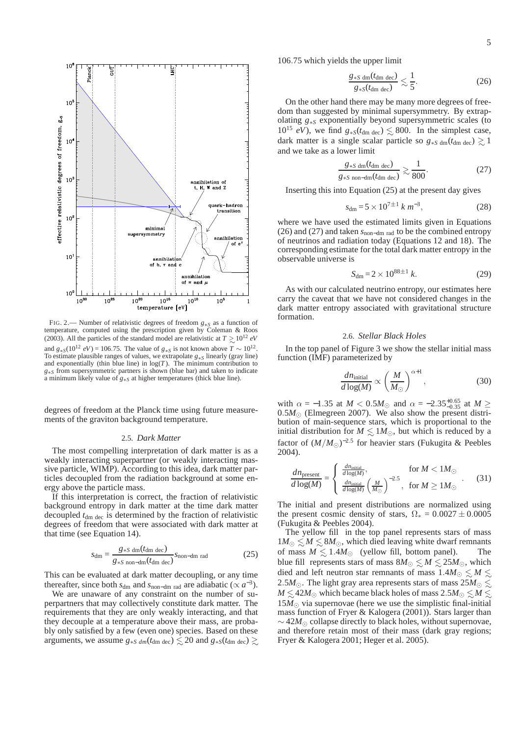



FIG. 2.— Number of relativistic degrees of freedom *g*∗*<sup>S</sup>* as a function of temperature, computed using the prescription given by Coleman & Roos (2003). All the particles of the standard model are relativistic at  $T \gtrsim 10^{12} eV$ and  $g_{*S}(10^{12} \text{ eV}) = 106.75$ . The value of  $g_{*S}$  is not known above  $T \sim 10^{12}$ . To estimate plausible ranges of values, we extrapolate *g*∗*<sup>S</sup>* linearly (gray line) and exponentially (thin blue line) in log(*T*). The minimum contribution to *g*∗*s* from supersymmetric partners is shown (blue bar) and taken to indicate a minimum likely value of *g*∗*<sup>S</sup>* at higher temperatures (thick blue line).

degrees of freedom at the Planck time using future measurements of the graviton background temperature.

### 2.5. *Dark Matter*

The most compelling interpretation of dark matter is as a weakly interacting superpartner (or weakly interacting massive particle, WIMP). According to this idea, dark matter particles decoupled from the radiation background at some energy above the particle mass.

If this interpretation is correct, the fraction of relativistic background entropy in dark matter at the time dark matter decoupled  $t_{dm \text{ dec}}$  is determined by the fraction of relativistic degrees of freedom that were associated with dark matter at that time (see Equation 14).

$$
s_{\rm dm} = \frac{g_{*S \text{ dm}}(t_{\rm dm \text{ dec}})}{g_{*S \text{ non-dm}}(t_{\rm dm \text{ dec}})} s_{\rm non-dm \text{ rad}}
$$
(25)

This can be evaluated at dark matter decoupling, or any time thereafter, since both  $s_{dm}$  and  $s_{non-dm}$  rad are adiabatic ( $\propto a^{-3}$ ).

We are unaware of any constraint on the number of superpartners that may collectively constitute dark matter. The requirements that they are only weakly interacting, and that they decouple at a temperature above their mass, are probably only satisfied by a few (even one) species. Based on these arguments, we assume  $g_{*S \, dm}(t_{dm \, dec}) \lesssim 20$  and  $g_{*S}(t_{dm \, dec}) \gtrsim$  106.75 which yields the upper limit

$$
\frac{g_{*S \text{ dm}}(t_{\text{dm dec}})}{g_{*S}(t_{\text{dm dec}})} \lesssim \frac{1}{5}.
$$
 (26)

On the other hand there may be many more degrees of freedom than suggested by minimal supersymmetry. By extrapolating *g*∗*<sup>S</sup>* exponentially beyond supersymmetric scales (to  $10^{15}$  *eV*), we find  $g_{*S}(t_{dm \text{ dec}}) \lesssim 800$ . In the simplest case, dark matter is a single scalar particle so  $g_{*S \text{ dm}}(t_{dm \text{ dec}}) \gtrsim 1$ and we take as a lower limit

$$
\frac{g_{*S \text{ dm}}(t_{\text{dm dec}})}{g_{*S \text{ non-dm}}(t_{\text{dm dec}})} \gtrsim \frac{1}{800}.
$$
 (27)

Inserting this into Equation (25) at the present day gives

$$
s_{\rm dm} = 5 \times 10^{7 \pm 1} \, k \, m^{-3},\tag{28}
$$

where we have used the estimated limits given in Equations (26) and (27) and taken *s*non−dm rad to be the combined entropy of neutrinos and radiation today (Equations 12 and 18). The corresponding estimate for the total dark matter entropy in the observable universe is

$$
S_{\rm dm} = 2 \times 10^{88 \pm 1} \, k. \tag{29}
$$

As with our calculated neutrino entropy, our estimates here carry the caveat that we have not considered changes in the dark matter entropy associated with gravitational structure formation.

### 2.6. *Stellar Black Holes*

In the top panel of Figure 3 we show the stellar initial mass function (IMF) parameterized by

$$
\frac{dn_{\text{initial}}}{d\log(M)} \propto \left(\frac{M}{M_{\odot}}\right)^{\alpha+1},\tag{30}
$$

with  $\alpha = -1.35$  at  $M < 0.5 M_{\odot}$  and  $\alpha = -2.35^{+0.65}_{-0.35}$  at  $M \ge$  $0.5M_{\odot}$  (Elmegreen 2007). We also show the present distribution of main-sequence stars, which is proportional to the initial distribution for  $M \leq 1 M_{\odot}$ , but which is reduced by a factor of  $(M/M_{\odot})^{-2.5}$  for heavier stars (Fukugita & Peebles 2004).

$$
\frac{dn_{\text{present}}}{d\log(M)} = \begin{cases}\n\frac{dn_{\text{initial}}}{d\log(M)}, & \text{for } M < 1M_{\odot} \\
\frac{dn_{\text{initial}}}{d\log(M)} \left(\frac{M}{M_{\odot}}\right)^{-2.5}, & \text{for } M \ge 1M_{\odot}\n\end{cases} (31)
$$

The initial and present distributions are normalized using the present cosmic density of stars,  $\Omega_* = 0.0027 \pm 0.0005$ (Fukugita & Peebles 2004).

The yellow fill in the top panel represents stars of mass  $1M_{\odot}$  ≤  $M$  ≤  $8M_{\odot}$ , which died leaving white dwarf remnants of mass  $M \leq 1.4M_{\odot}$  (yellow fill, bottom panel). The blue fill represents stars of mass  $8M_{\odot} \lesssim M \lesssim 25M_{\odot}$ , which died and left neutron star remnants of mass  $1.4M_{\odot} \leq M \leq$ 2.5*M*<sub>☉</sub>. The light gray area represents stars of mass  $25M_{\odot}$   $\lesssim$ *M* ≤ 42*M*⊙ which became black holes of mass 2.5*M*⊙ ≤ *M* ≤  $15M_{\odot}$  via supernovae (here we use the simplistic final-initial mass function of Fryer & Kalogera (2001)). Stars larger than ∼ 42*M*<sup>⊙</sup> collapse directly to black holes, without supernovae, and therefore retain most of their mass (dark gray regions; Fryer & Kalogera 2001; Heger et al. 2005).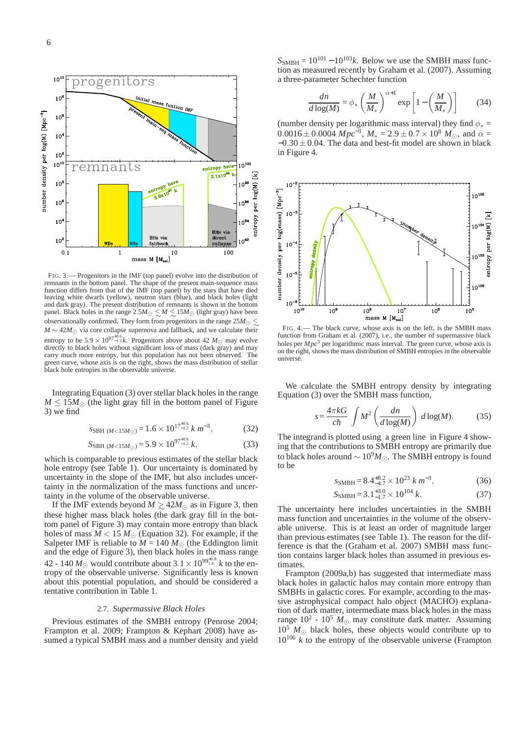

FIG. 3.— Progenitors in the IMF (top panel) evolve into the distribution of remnants in the bottom panel. The shape of the present main-sequence mass function differs from that of the IMF (top panel) by the stars that have died leaving white dwarfs (yellow), neutron stars (blue), and black holes (light and dark gray). The present distribution of remnants is shown in the bottom panel. Black holes in the range  $2.5M_{\odot} \lesssim M \lesssim 15M_{\odot}$  (light gray) have been observationally confirmed. They form from progenitors in the range 25 $M_{\odot} \lesssim$  $M \sim 42 M_{\odot}$  via core collapse supernova and fallback, and we calculate their entropy to be  $5.9 \times 10^{97_{-1.2}^{+0.6}}$ *k*. Progenitors above about 42  $M_{\odot}$  may evolve directly to black holes without significant loss of mass (dark gray) and may carry much more entropy, but this population has not been observed. The green curve, whose axis is on the right, shows the mass distribution of stellar black hole entropies in the observable universe.

Integrating Equation (3) over stellar black holes in the range  $M \leq 15M_{\odot}$  (the light gray fill in the bottom panel of Figure 3) we find

$$
S_{\text{SBH (M<15M\odot)}} = 1.6 \times 10^{17^{+0.6}_{-1.2}} \, k \, m^{-3},\tag{32}
$$

$$
S_{\rm SBH (M<15M_{\odot})} = 5.9 \times 10^{97^{+0.6}_{-1.2}} k,
$$
\n(33)

which is comparable to previous estimates of the stellar black hole entropy (see Table 1). Our uncertainty is dominated by uncertainty in the slope of the IMF, but also includes uncertainty in the normalization of the mass functions and uncertainty in the volume of the observable universe.

If the IMF extends beyond  $M \gtrsim 42M_{\odot}$  as in Figure 3, then these higher mass black holes (the dark gray fill in the bottom panel of Figure 3) may contain more entropy than black holes of mass  $\widetilde{M}$  < 15  $M_{\odot}$  (Equation 32). For example, if the Salpeter IMF is reliable to  $M = 140 M_{\odot}$  (the Eddington limit and the edge of Figure 3), then black holes in the mass range 42 - 140  $M_{\odot}$  would contribute about 3.1  $\times$  10<sup>99†1.6</sup> *k* to the entropy of the observable universe. Significantly less is known about this potential population, and should be considered a tentative contribution in Table 1.

#### 2.7. *Supermassive Black Holes*

Previous estimates of the SMBH entropy (Penrose 2004; Frampton et al. 2009; Frampton & Kephart 2008) have assumed a typical SMBH mass and a number density and yield  $S_{\text{SMBH}} = 10^{101} - 10^{103}k$ . Below we use the SMBH mass function as measured recently by Graham et al. (2007). Assuming a three-parameter Schechter function

$$
\frac{dn}{d\log(M)} = \phi_* \left(\frac{M}{M_*}\right)^{\alpha+1} \exp\left[1 - \left(\frac{M}{M_*}\right)\right] \tag{34}
$$

(number density per logarithmic mass interval) they find  $\phi_* =$  $0.0016 \pm 0.0004 \; Mpc^{-3}$ ,  $M_* = 2.9 \pm 0.7 \times 10^8 \; M_{\odot}$ , and  $\alpha =$  $-0.30 \pm 0.04$ . The data and best-fit model are shown in black in Figure 4.



FIG. 4.— The black curve, whose axis is on the left, is the SMBH mass function from Graham et al. (2007), i.e., the number of supermassive black holes per  $Mpc<sup>3</sup>$  per logarithmic mass interval. The green curve, whose axis is on the right, shows the mass distribution of SMBH entropies in the observable universe.

We calculate the SMBH entropy density by integrating Equation (3) over the SMBH mass function,

$$
s = \frac{4\pi kG}{c\hbar} \int M^2 \left(\frac{dn}{d\log(M)}\right) d\log(M). \tag{35}
$$

The integrand is plotted using a green line in Figure 4 showing that the contributions to SMBH entropy are primarily due to black holes around  $\sim 10^9 M_{\odot}$ . The SMBH entropy is found to be

$$
s_{\text{SMBH}} = 8.4^{+8.2}_{-4.7} \times 10^{23} \, \text{k} \, \text{m}^{-3},\tag{36}
$$

$$
S_{\text{SMBH}} = 3.1^{+3.0}_{-1.7} \times 10^{104} \, k. \tag{37}
$$

The uncertainty here includes uncertainties in the SMBH mass function and uncertainties in the volume of the observable universe. This is at least an order of magnitude larger than previous estimates (see Table 1). The reason for the difference is that the (Graham et al. 2007) SMBH mass function contains larger black holes than assumed in previous estimates.

Frampton (2009a,b) has suggested that intermediate mass black holes in galactic halos may contain more entropy than SMBHs in galactic cores. For example, according to the massive astrophysical compact halo object (MACHO) explanation of dark matter, intermediate mass black holes in the mass range  $10^2 \cdot 10^5 M_{\odot}$  may constitute dark matter. Assuming  $10^5$  *M*<sub> $\odot$ </sub> black holes, these objects would contribute up to  $10^{106}$  *k* to the entropy of the observable universe (Frampton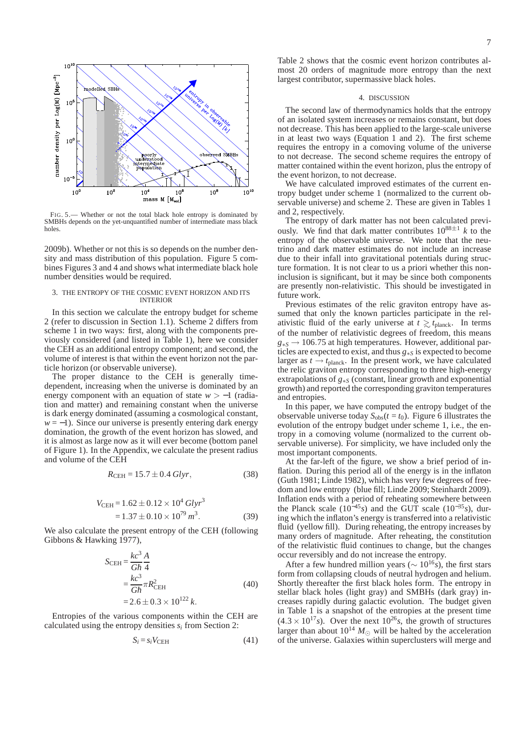

FIG. 5.— Whether or not the total black hole entropy is dominated by SMBHs depends on the yet-unquantified number of intermediate mass black holes.

2009b). Whether or not this is so depends on the number density and mass distribution of this population. Figure 5 combines Figures 3 and 4 and shows what intermediate black hole number densities would be required.

### 3. THE ENTROPY OF THE COSMIC EVENT HORIZON AND ITS INTERIOR

In this section we calculate the entropy budget for scheme 2 (refer to discussion in Section 1.1). Scheme 2 differs from scheme 1 in two ways: first, along with the components previously considered (and listed in Table 1), here we consider the CEH as an additional entropy component; and second, the volume of interest is that within the event horizon not the particle horizon (or observable universe).

The proper distance to the CEH is generally timedependent, increasing when the universe is dominated by an energy component with an equation of state *w* > −1 (radiation and matter) and remaining constant when the universe is dark energy dominated (assuming a cosmological constant,  $w = -1$ ). Since our universe is presently entering dark energy domination, the growth of the event horizon has slowed, and it is almost as large now as it will ever become (bottom panel of Figure 1). In the Appendix, we calculate the present radius and volume of the CEH

$$
R_{\text{CEH}} = 15.7 \pm 0.4 \text{ Glyr},\tag{38}
$$

$$
V_{\text{CEH}} = 1.62 \pm 0.12 \times 10^4 \text{ Glyr}^3
$$
  
= 1.37 \pm 0.10 \times 10^{79} m<sup>3</sup>. (39)

We also calculate the present entropy of the CEH (following Gibbons & Hawking 1977),

$$
S_{\text{CEH}} = \frac{kc^3}{G\hbar} \frac{A}{4}
$$
  
=  $\frac{kc^3}{G\hbar} \pi R_{\text{CEH}}^2$   
= 2.6 ± 0.3 × 10<sup>122</sup> k. (40)

Entropies of the various components within the CEH are calculated using the entropy densities  $s_i$  from Section 2:

$$
S_i = s_i V_{\text{CEH}} \tag{41}
$$

Table 2 shows that the cosmic event horizon contributes almost 20 orders of magnitude more entropy than the next largest contributor, supermassive black holes.

### 4. DISCUSSION

The second law of thermodynamics holds that the entropy of an isolated system increases or remains constant, but does not decrease. This has been applied to the large-scale universe in at least two ways (Equation 1 and 2). The first scheme requires the entropy in a comoving volume of the universe to not decrease. The second scheme requires the entropy of matter contained within the event horizon, plus the entropy of the event horizon, to not decrease.

We have calculated improved estimates of the current entropy budget under scheme 1 (normalized to the current observable universe) and scheme 2. These are given in Tables 1 and 2, respectively.

The entropy of dark matter has not been calculated previously. We find that dark matter contributes  $10^{88 \pm 1}$  k to the entropy of the observable universe. We note that the neutrino and dark matter estimates do not include an increase due to their infall into gravitational potentials during structure formation. It is not clear to us a priori whether this noninclusion is significant, but it may be since both components are presently non-relativistic. This should be investigated in future work.

Previous estimates of the relic graviton entropy have assumed that only the known particles participate in the relativistic fluid of the early universe at  $t \gtrsim t_{\text{planck}}$ . In terms of the number of relativistic degrees of freedom, this means *g*<sup>∗</sup>*<sup>S</sup>* → 106.75 at high temperatures. However, additional particles are expected to exist, and thus *g*<sup>∗</sup>*<sup>S</sup>* is expected to become larger as  $t \rightarrow t_{\text{planck}}$ . In the present work, we have calculated the relic graviton entropy corresponding to three high-energy extrapolations of *g*<sup>∗</sup>*<sup>S</sup>* (constant, linear growth and exponential growth) and reported the corresponding graviton temperatures and entropies.

In this paper, we have computed the entropy budget of the observable universe today  $S_{obs}(t = t_0)$ . Figure 6 illustrates the evolution of the entropy budget under scheme 1, i.e., the entropy in a comoving volume (normalized to the current observable universe). For simplicity, we have included only the most important components.

At the far-left of the figure, we show a brief period of inflation. During this period all of the energy is in the inflaton (Guth 1981; Linde 1982), which has very few degrees of freedom and low entropy (blue fill; Linde 2009; Steinhardt 2009). Inflation ends with a period of reheating somewhere between the Planck scale ( $10^{-45}$ *s*) and the GUT scale ( $10^{-35}$ *s*), during which the inflaton's energy is transferred into a relativistic fluid (yellow fill). During reheating, the entropy increases by many orders of magnitude. After reheating, the constitution of the relativistic fluid continues to change, but the changes occur reversibly and do not increase the entropy.

After a few hundred million years ( $\sim 10^{16}$ s), the first stars form from collapsing clouds of neutral hydrogen and helium. Shortly thereafter the first black holes form. The entropy in stellar black holes (light gray) and SMBHs (dark gray) increases rapidly during galactic evolution. The budget given in Table 1 is a snapshot of the entropies at the present time  $(4.3 \times 10^{17} s)$ . Over the next  $10^{26} s$ , the growth of structures larger than about  $10^{14} M_{\odot}$  will be halted by the acceleration of the universe. Galaxies within superclusters will merge and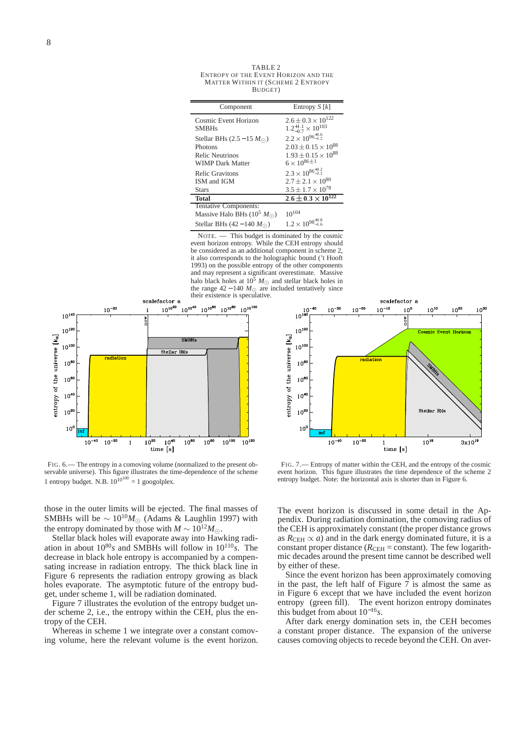| Component                           | Entropy $S[k]$                           |  |
|-------------------------------------|------------------------------------------|--|
| Cosmic Event Horizon                | $2.6 \pm 0.3 \times 10^{122}$            |  |
| <b>SMBHs</b>                        | $1.2^{+1.1}_{-0.7}\times10^{103}$        |  |
| Stellar BHs $(2.5-15 M_{\odot})$    | $2.2 \times 10^{96^{+0.6}_{-1.2}}$       |  |
| <b>Photons</b>                      | $2.03 \pm 0.15 \times 10^{88}$           |  |
| Relic Neutrinos                     | $1.93 \pm 0.15 \times 10^{88}$           |  |
| <b>WIMP</b> Dark Matter             | $6 \times 10^{86 \pm 1}$                 |  |
| <b>Relic Gravitons</b>              | $2.3 \times 10^{86^{+0.2}_{-3.1}}$       |  |
| ISM and IGM                         | $2.7 \pm 2.1 \times 10^{80}$             |  |
| <b>Stars</b>                        | $3.5 \pm 1.7 \times 10^{78}$             |  |
| <b>Total</b>                        | $2.6 \pm \overline{0.3 \times 10^{122}}$ |  |
| Tentative Components:               |                                          |  |
| Massive Halo BHs $(10^5 M_{\odot})$ | $10^{104}$                               |  |
| Stellar BHs $(42-140 M_{\odot})$    | $1.2 \times 10^{98^{+0.8}_{-1.6}}$       |  |

NOTE. — This budget is dominated by the cosmic event horizon entropy. While the CEH entropy should be considered as an additional component in scheme 2, it also corresponds to the holographic bound ('t Hooft 1993) on the possible entropy of the other components and may represent a significant overestimate. Massive halo black holes at  $10^5$  *M*<sub>☉</sub> and stellar black holes in the range  $42 - 140 M_{\odot}$  are included tentatively since their existence is speculative.



FIG. 6.— The entropy in a comoving volume (normalized to the present observable universe). This figure illustrates the time-dependence of the scheme 1 entropy budget. N.B.  $10^{10^{100}} = 1$  googolplex.

those in the outer limits will be ejected. The final masses of SMBHs will be  $\sim 10^{10} M_{\odot}$  (Adams & Laughlin 1997) with the entropy dominated by those with  $M \sim 10^{12} M_{\odot}$ .

Stellar black holes will evaporate away into Hawking radiation in about 10<sup>80</sup>*s* and SMBHs will follow in 10<sup>110</sup>*s*. The decrease in black hole entropy is accompanied by a compensating increase in radiation entropy. The thick black line in Figure 6 represents the radiation entropy growing as black holes evaporate. The asymptotic future of the entropy budget, under scheme 1, will be radiation dominated.

Figure 7 illustrates the evolution of the entropy budget under scheme 2, i.e., the entropy within the CEH, plus the entropy of the CEH.

Whereas in scheme 1 we integrate over a constant comoving volume, here the relevant volume is the event horizon.



FIG. 7.— Entropy of matter within the CEH, and the entropy of the cosmic event horizon. This figure illustrates the time dependence of the scheme 2 entropy budget. Note: the horizontal axis is shorter than in Figure 6.

The event horizon is discussed in some detail in the Appendix. During radiation domination, the comoving radius of the CEH is approximately constant (the proper distance grows as  $R_{\text{CEH}} \propto a$ ) and in the dark energy dominated future, it is a constant proper distance ( $R_{\text{CEH}}$  = constant). The few logarithmic decades around the present time cannot be described well by either of these.

Since the event horizon has been approximately comoving in the past, the left half of Figure  $\overline{7}$  is almost the same as in Figure 6 except that we have included the event horizon entropy (green fill). The event horizon entropy dominates this budget from about 10<sup>−</sup><sup>16</sup>*s*.

After dark energy domination sets in, the CEH becomes a constant proper distance. The expansion of the universe causes comoving objects to recede beyond the CEH. On aver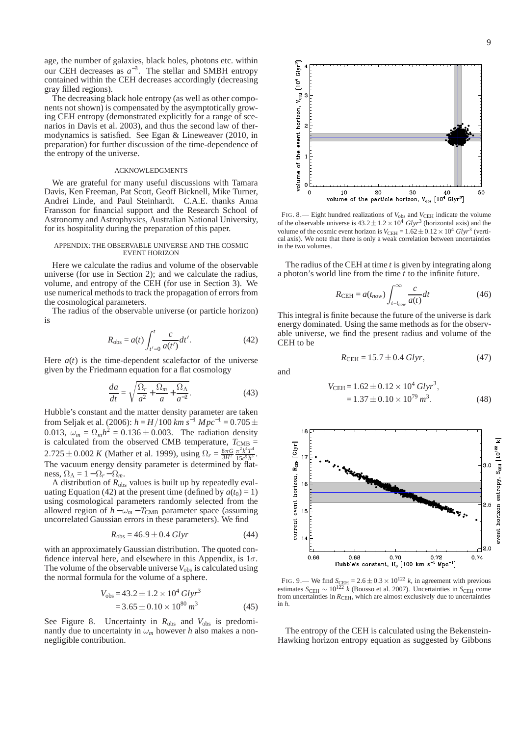age, the number of galaxies, black holes, photons etc. within our CEH decreases as  $a^{-3}$ . The stellar and SMBH entropy contained within the CEH decreases accordingly (decreasing gray filled regions).

The decreasing black hole entropy (as well as other components not shown) is compensated by the asymptotically growing CEH entropy (demonstrated explicitly for a range of scenarios in Davis et al. 2003), and thus the second law of thermodynamics is satisfied. See Egan & Lineweaver (2010, in preparation) for further discussion of the time-dependence of the entropy of the universe.

## ACKNOWLEDGMENTS

We are grateful for many useful discussions with Tamara Davis, Ken Freeman, Pat Scott, Geoff Bicknell, Mike Turner, Andrei Linde, and Paul Steinhardt. C.A.E. thanks Anna Fransson for financial support and the Research School of Astronomy and Astrophysics, Australian National University, for its hospitality during the preparation of this paper.

### APPENDIX: THE OBSERVABLE UNIVERSE AND THE COSMIC EVENT HORIZON

Here we calculate the radius and volume of the observable universe (for use in Section 2); and we calculate the radius, volume, and entropy of the CEH (for use in Section 3). We use numerical methods to track the propagation of errors from the cosmological parameters.

The radius of the observable universe (or particle horizon) is

$$
R_{\rm obs} = a(t) \int_{t'=0}^{t} \frac{c}{a(t')} dt'. \tag{42}
$$

Here  $a(t)$  is the time-dependent scalefactor of the universe given by the Friedmann equation for a flat cosmology

$$
\frac{da}{dt} = \sqrt{\frac{\Omega_r}{a^2} + \frac{\Omega_m}{a} + \frac{\Omega_\Lambda}{a^{-2}}}. \tag{43}
$$

Hubble's constant and the matter density parameter are taken from Seljak et al. (2006):  $h = H/100$   $km s^{-1}$   $Mpc^{-1} = 0.705 \pm 10^{-1}$ 0.013,  $\omega_m = \Omega_m h^2 = 0.136 \pm 0.003$ . The radiation density is calculated from the observed CMB temperature,  $T_{\text{CMB}} =$  $2.725 \pm 0.002 K$  (Mather et al. 1999), using  $\Omega_r = \frac{8\pi G}{3H^2} \frac{\pi^2 k^4 T^4}{15c^5 \bar{h}^3}$  $\frac{\pi^2 k}{15c^5 \bar{h}^3}$ The vacuum energy density parameter is determined by flatness,  $\Omega_{\Lambda} = 1 - \Omega_{r} - \Omega_{m}$ .

A distribution of  $R_{obs}$  values is built up by repeatedly evaluating Equation (42) at the present time (defined by  $a(t_0) = 1$ ) using cosmological parameters randomly selected from the allowed region of  $h - \omega_m - T_{\text{CMB}}$  parameter space (assuming uncorrelated Gaussian errors in these parameters). We find

$$
R_{\rm obs} = 46.9 \pm 0.4 \text{ Glyr}
$$
 (44)

with an approximately Gaussian distribution. The quoted confidence interval here, and elsewhere in this Appendix, is  $1\sigma$ . The volume of the observable universe  $V_{obs}$  is calculated using the normal formula for the volume of a sphere.

$$
V_{\text{obs}} = 43.2 \pm 1.2 \times 10^4 \text{ Glyr}^3
$$
  
= 3.65 \pm 0.10 \times 10^{80} m^3 (45)

See Figure 8. Uncertainty in  $R_{obs}$  and  $V_{obs}$  is predominantly due to uncertainty in  $\omega_m$  however *h* also makes a nonnegligible contribution.



FIG. 8. - Eight hundred realizations of  $V_{\text{obs}}$  and  $V_{\text{CEH}}$  indicate the volume of the observable universe is  $43.2 \pm 1.2 \times 10^4$  *Glyr*<sup>3</sup> (horizontal axis) and the volume of the cosmic event horizon is  $V_{\text{CEH}} = 1.62 \pm 0.12 \times 10^4 \text{ Gly}r^3$  (vertical axis). We note that there is only a weak correlation between uncertainties in the two volumes.

The radius of the CEH at time *t* is given by integrating along a photon's world line from the time *t* to the infinite future.

$$
R_{\text{CEH}} = a(t_{now}) \int_{t=t_{now}}^{\infty} \frac{c}{a(t)} dt
$$
 (46)

This integral is finite because the future of the universe is dark energy dominated. Using the same methods as for the observable universe, we find the present radius and volume of the CEH to be

$$
R_{\text{CEH}} = 15.7 \pm 0.4 \text{ Glyr},\tag{47}
$$

and

$$
V_{\text{CEH}} = 1.62 \pm 0.12 \times 10^4 \text{ Glyr}^3,
$$
  
= 1.37 \pm 0.10 \times 10^{79} \text{ m}^3. (48)



FIG. 9.— We find  $S_{\text{CEH}} = 2.6 \pm 0.3 \times 10^{122}$  k, in agreement with previous estimates  $S_{\text{CEH}} \sim 10^{122}$  *k* (Bousso et al. 2007). Uncertainties in  $S_{\text{CEH}}$  come from uncertainties in *R*<sub>CEH</sub>, which are almost exclusively due to uncertainties in *h*.

The entropy of the CEH is calculated using the Bekenstein-Hawking horizon entropy equation as suggested by Gibbons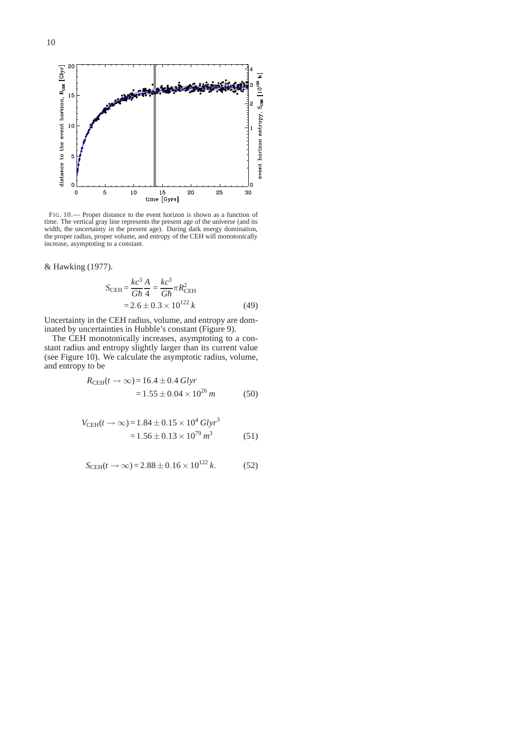

FIG. 10.— Proper distance to the event horizon is shown as a function of time. The vertical gray line represents the present age of the universe (and its width, the uncertainty in the present age). During dark energy domination, the proper radius, proper volume, and entropy of the CEH will monotonically increase, asymptoting to a constant.

& Hawking (1977).

$$
S_{\text{CEH}} = \frac{kc^3}{G\hbar} \frac{A}{4} = \frac{kc^3}{G\hbar} \pi R_{\text{CEH}}^2
$$
  
= 2.6 \pm 0.3 \times 10^{122} k (49)

Uncertainty in the CEH radius, volume, and entropy are dominated by uncertainties in Hubble's constant (Figure 9).

The CEH monotonically increases, asymptoting to a constant radius and entropy slightly larger than its current value (see Figure 10). We calculate the asymptotic radius, volume, and entropy to be

$$
R_{\text{CEH}}(t \to \infty) = 16.4 \pm 0.4 \text{ Glyr}
$$
  
= 1.55 \pm 0.04 \times 10^{26} m (50)

$$
V_{\text{CEH}}(t \to \infty) = 1.84 \pm 0.15 \times 10^4 \text{ Glyr}^3
$$
  
= 1.56 \pm 0.13 \times 10^{79} m^3 \t(51)

$$
S_{\text{CEH}}(t \to \infty) = 2.88 \pm 0.16 \times 10^{122} \, k. \tag{52}
$$